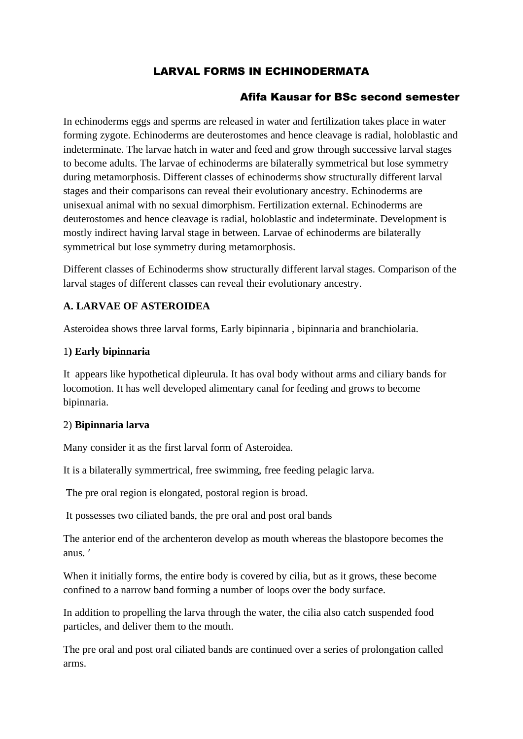# LARVAL FORMS IN ECHINODERMATA

## Afifa Kausar for BSc second semester

In echinoderms eggs and sperms are released in water and fertilization takes place in water forming zygote. Echinoderms are deuterostomes and hence cleavage is radial, holoblastic and indeterminate. The larvae hatch in water and feed and grow through successive larval stages to become adults. The larvae of echinoderms are bilaterally symmetrical but lose symmetry during metamorphosis. Different classes of echinoderms show structurally different larval stages and their comparisons can reveal their evolutionary ancestry. Echinoderms are unisexual animal with no sexual dimorphism. Fertilization external. Echinoderms are deuterostomes and hence cleavage is radial, holoblastic and indeterminate. Development is mostly indirect having larval stage in between. Larvae of echinoderms are bilaterally symmetrical but lose symmetry during metamorphosis.

Different classes of Echinoderms show structurally different larval stages. Comparison of the larval stages of different classes can reveal their evolutionary ancestry.

#### **A. LARVAE OF ASTEROIDEA**

Asteroidea shows three larval forms, Early bipinnaria , bipinnaria and branchiolaria.

#### 1**) Early bipinnaria**

It appears like hypothetical dipleurula. It has oval body without arms and ciliary bands for locomotion. It has well developed alimentary canal for feeding and grows to become bipinnaria.

#### 2) **Bipinnaria larva**

Many consider it as the first larval form of Asteroidea.

It is a bilaterally symmertrical, free swimming, free feeding pelagic larva.

The pre oral region is elongated, postoral region is broad.

It possesses two ciliated bands, the pre oral and post oral bands

The anterior end of the archenteron develop as mouth whereas the blastopore becomes the anus.

When it initially forms, the entire body is covered by cilia, but as it grows, these become confined to a narrow band forming a number of loops over the body surface.

In addition to propelling the larva through the water, the cilia also catch suspended food particles, and deliver them to the mouth.

The pre oral and post oral ciliated bands are continued over a series of prolongation called arms.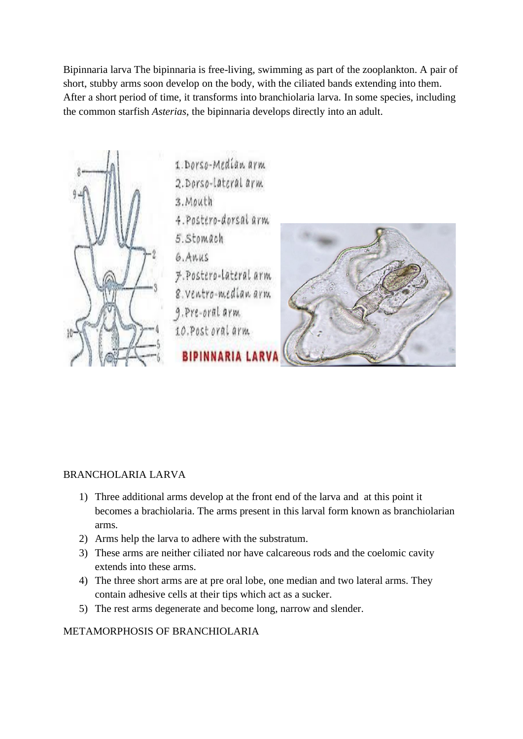Bipinnaria larva The bipinnaria is free-living, swimming as part of the zooplankton. A pair of short, stubby arms soon develop on the body, with the ciliated bands extending into them. After a short period of time, it transforms into branchiolaria larva. In some species, including the common starfish *Asterias*, the bipinnaria develops directly into an adult.



#### BRANCHOLARIA LARVA

- 1) Three additional arms develop at the front end of the larva and at this point it becomes a brachiolaria. The arms present in this larval form known as branchiolarian arms.
- 2) Arms help the larva to adhere with the substratum.
- 3) These arms are neither ciliated nor have calcareous rods and the coelomic cavity extends into these arms.
- 4) The three short arms are at pre oral lobe, one median and two lateral arms. They contain adhesive cells at their tips which act as a sucker.
- 5) The rest arms degenerate and become long, narrow and slender.

#### METAMORPHOSIS OF BRANCHIOLARIA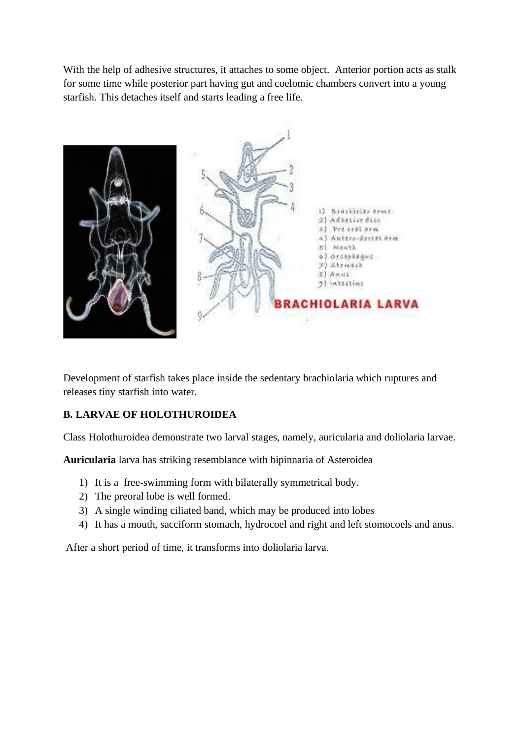With the help of adhesive structures, it attaches to some object. Anterior portion acts as stalk for some time while posterior part having gut and coelomic chambers convert into a young starfish. This detaches itself and starts leading a free life.



Development of starfish takes place inside the sedentary brachiolaria which ruptures and releases tiny starfish into water.

## **B. LARVAE OF HOLOTHUROIDEA**

Class Holothuroidea demonstrate two larval stages, namely, auricularia and doliolaria larvae.

**Auricularia** larva has striking resemblance with bipinnaria of Asteroidea

- 1) It is a free-swimming form with bilaterally symmetrical body.
- 2) The preoral lobe is well formed.
- 3) A single winding ciliated band, which may be produced into lobes
- 4) It has a mouth, sacciform stomach, hydrocoel and right and left stomocoels and anus.

After a short period of time, it transforms into doliolaria larva.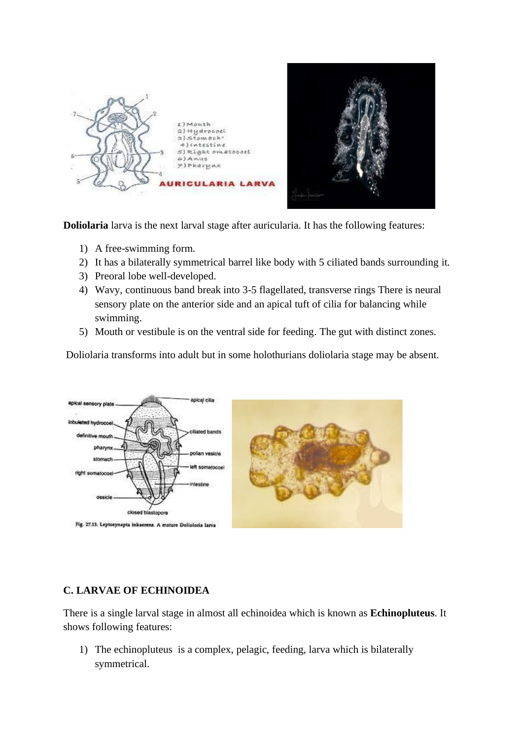

**Doliolaria** larva is the next larval stage after auricularia. It has the following features:

- 1) A free-swimming form.
- 2) It has a bilaterally symmetrical barrel like body with 5 ciliated bands surrounding it.
- 3) Preoral lobe well-developed.
- 4) Wavy, continuous band break into 3-5 flagellated, transverse rings There is neural sensory plate on the anterior side and an apical tuft of cilia for balancing while swimming.
- 5) Mouth or vestibule is on the ventral side for feeding. The gut with distinct zones.

Doliolaria transforms into adult but in some holothurians doliolaria stage may be absent.



#### **C. LARVAE OF ECHINOIDEA**

There is a single larval stage in almost all echinoidea which is known as **Echinopluteus**. It shows following features:

1) The echinopluteus is a complex, pelagic, feeding, larva which is bilaterally symmetrical.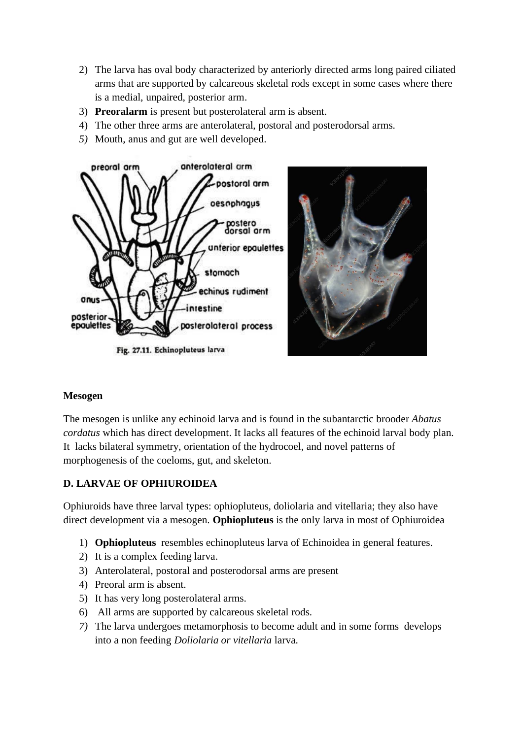- 2) The larva has oval body characterized by anteriorly directed arms long paired ciliated arms that are supported by calcareous skeletal rods except in some cases where there is a medial, unpaired, posterior arm.
- 3) **Preoralarm** is present but posterolateral arm is absent.
- 4) The other three arms are anterolateral, postoral and posterodorsal arms.
- *5)* Mouth, anus and gut are well developed.



Fig. 27.11. Echinopluteus larva

#### **Mesogen**

The mesogen is unlike any echinoid larva and is found in the subantarctic brooder *Abatus cordatus* which has direct development. It lacks all features of the echinoid larval body plan. It lacks bilateral symmetry, orientation of the hydrocoel, and novel patterns of morphogenesis of the coeloms, gut, and skeleton.

# **D. LARVAE OF OPHIUROIDEA**

Ophiuroids have three larval types: ophiopluteus, doliolaria and vitellaria; they also have direct development via a mesogen. **Ophiopluteus** is the only larva in most of Ophiuroidea

- 1) **Ophiopluteus** resembles echinopluteus larva of Echinoidea in general features.
- 2) It is a complex feeding larva.
- 3) Anterolateral, postoral and posterodorsal arms are present
- 4) Preoral arm is absent.
- 5) It has very long posterolateral arms.
- 6) All arms are supported by calcareous skeletal rods.
- *7)* The larva undergoes metamorphosis to become adult and in some forms develops into a non feeding *Doliolaria or vitellaria* larva.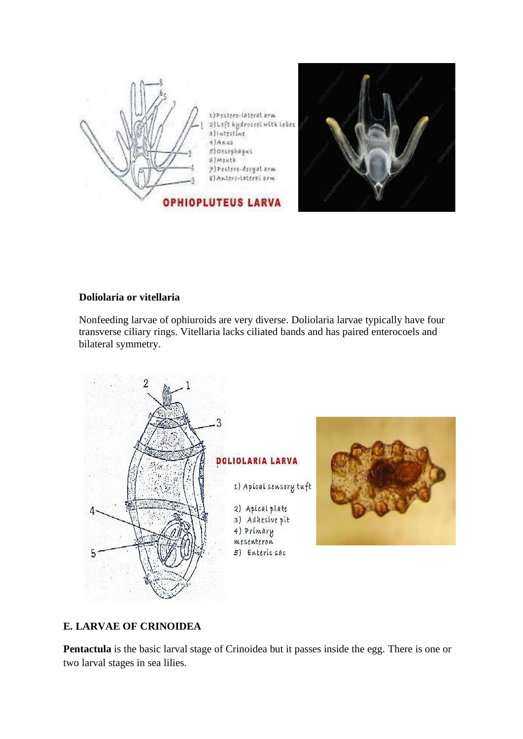



## **Doliolaria or vitellaria**

Nonfeeding larvae of ophiuroids are very diverse. Doliolaria larvae typically have four transverse ciliary rings. Vitellaria lacks ciliated bands and has paired enterocoels and bilateral symmetry.



# **E. LARVAE OF CRINOIDEA**

**Pentactula** is the basic larval stage of Crinoidea but it passes inside the egg. There is one or two larval stages in sea lilies.